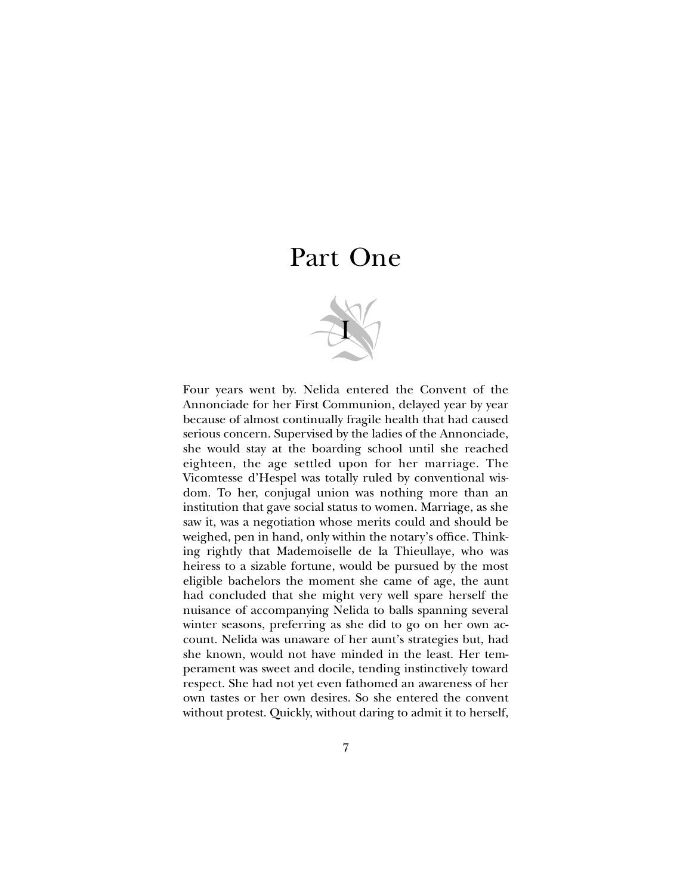## Part One



Four years went by. Nelida entered the Convent of the Annonciade for her First Communion, delayed year by year because of almost continually fragile health that had caused serious concern. Supervised by the ladies of the Annonciade, she would stay at the boarding school until she reached eighteen, the age settled upon for her marriage. The Vicomtesse d'Hespel was totally ruled by conventional wisdom. To her, conjugal union was nothing more than an institution that gave social status to women. Marriage, as she saw it, was a negotiation whose merits could and should be weighed, pen in hand, only within the notary's office. Thinking rightly that Mademoiselle de la Thieullaye, who was heiress to a sizable fortune, would be pursued by the most eligible bachelors the moment she came of age, the aunt had concluded that she might very well spare herself the nuisance of accompanying Nelida to balls spanning several winter seasons, preferring as she did to go on her own account. Nelida was unaware of her aunt's strategies but, had she known, would not have minded in the least. Her temperament was sweet and docile, tending instinctively toward respect. She had not yet even fathomed an awareness of her own tastes or her own desires. So she entered the convent without protest. Quickly, without daring to admit it to herself,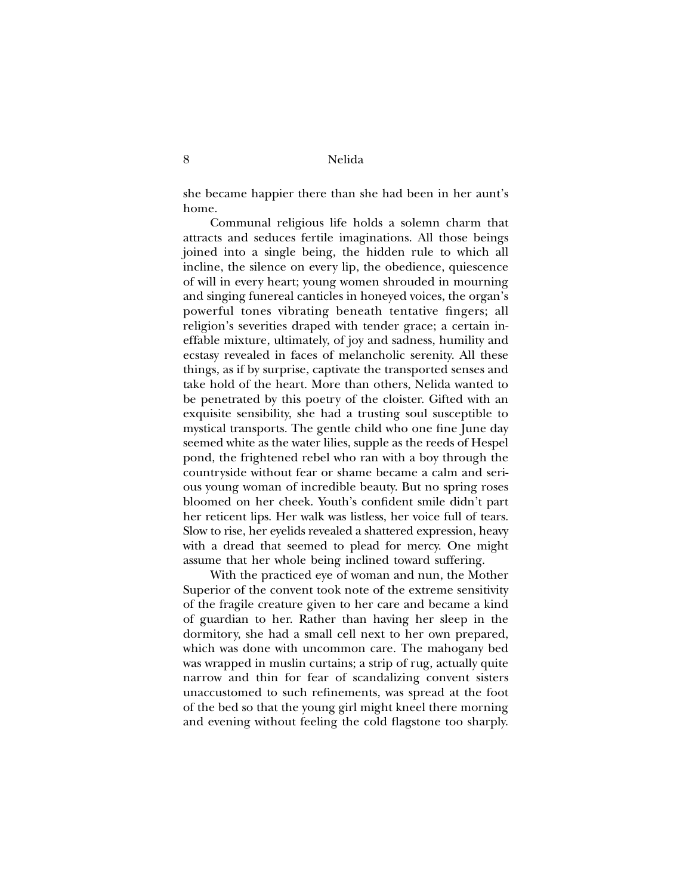she became happier there than she had been in her aunt's home.

Communal religious life holds a solemn charm that attracts and seduces fertile imaginations. All those beings joined into a single being, the hidden rule to which all incline, the silence on every lip, the obedience, quiescence of will in every heart; young women shrouded in mourning and singing funereal canticles in honeyed voices, the organ's powerful tones vibrating beneath tentative fingers; all religion's severities draped with tender grace; a certain ineffable mixture, ultimately, of joy and sadness, humility and ecstasy revealed in faces of melancholic serenity. All these things, as if by surprise, captivate the transported senses and take hold of the heart. More than others, Nelida wanted to be penetrated by this poetry of the cloister. Gifted with an exquisite sensibility, she had a trusting soul susceptible to mystical transports. The gentle child who one fine June day seemed white as the water lilies, supple as the reeds of Hespel pond, the frightened rebel who ran with a boy through the countryside without fear or shame became a calm and serious young woman of incredible beauty. But no spring roses bloomed on her cheek. Youth's confident smile didn't part her reticent lips. Her walk was listless, her voice full of tears. Slow to rise, her eyelids revealed a shattered expression, heavy with a dread that seemed to plead for mercy. One might assume that her whole being inclined toward suffering.

With the practiced eye of woman and nun, the Mother Superior of the convent took note of the extreme sensitivity of the fragile creature given to her care and became a kind of guardian to her. Rather than having her sleep in the dormitory, she had a small cell next to her own prepared, which was done with uncommon care. The mahogany bed was wrapped in muslin curtains; a strip of rug, actually quite narrow and thin for fear of scandalizing convent sisters unaccustomed to such refinements, was spread at the foot of the bed so that the young girl might kneel there morning and evening without feeling the cold flagstone too sharply.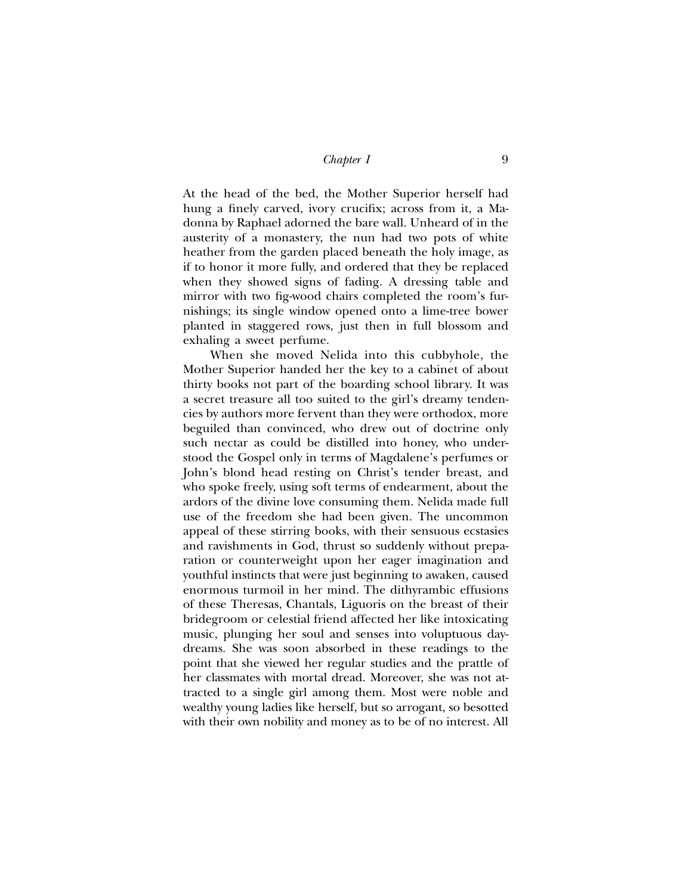At the head of the bed, the Mother Superior herself had hung a finely carved, ivory crucifix; across from it, a Madonna by Raphael adorned the bare wall. Unheard of in the austerity of a monastery, the nun had two pots of white heather from the garden placed beneath the holy image, as if to honor it more fully, and ordered that they be replaced when they showed signs of fading. A dressing table and mirror with two fig-wood chairs completed the room's furnishings; its single window opened onto a lime-tree bower planted in staggered rows, just then in full blossom and exhaling a sweet perfume.

When she moved Nelida into this cubbyhole, the Mother Superior handed her the key to a cabinet of about thirty books not part of the boarding school library. It was a secret treasure all too suited to the girl's dreamy tendencies by authors more fervent than they were orthodox, more beguiled than convinced, who drew out of doctrine only such nectar as could be distilled into honey, who understood the Gospel only in terms of Magdalene's perfumes or John's blond head resting on Christ's tender breast, and who spoke freely, using soft terms of endearment, about the ardors of the divine love consuming them. Nelida made full use of the freedom she had been given. The uncommon appeal of these stirring books, with their sensuous ecstasies and ravishments in God, thrust so suddenly without preparation or counterweight upon her eager imagination and youthful instincts that were just beginning to awaken, caused enormous turmoil in her mind. The dithyrambic effusions of these Theresas, Chantals, Liguoris on the breast of their bridegroom or celestial friend affected her like intoxicating music, plunging her soul and senses into voluptuous daydreams. She was soon absorbed in these readings to the point that she viewed her regular studies and the prattle of her classmates with mortal dread. Moreover, she was not attracted to a single girl among them. Most were noble and wealthy young ladies like herself, but so arrogant, so besotted with their own nobility and money as to be of no interest. All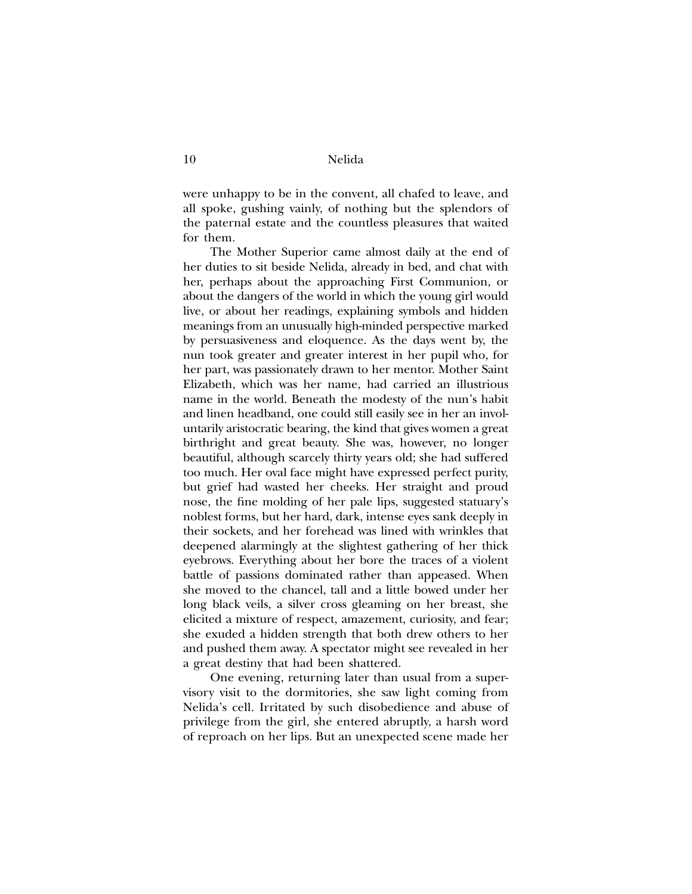were unhappy to be in the convent, all chafed to leave, and all spoke, gushing vainly, of nothing but the splendors of the paternal estate and the countless pleasures that waited for them.

The Mother Superior came almost daily at the end of her duties to sit beside Nelida, already in bed, and chat with her, perhaps about the approaching First Communion, or about the dangers of the world in which the young girl would live, or about her readings, explaining symbols and hidden meanings from an unusually high-minded perspective marked by persuasiveness and eloquence. As the days went by, the nun took greater and greater interest in her pupil who, for her part, was passionately drawn to her mentor. Mother Saint Elizabeth, which was her name, had carried an illustrious name in the world. Beneath the modesty of the nun's habit and linen headband, one could still easily see in her an involuntarily aristocratic bearing, the kind that gives women a great birthright and great beauty. She was, however, no longer beautiful, although scarcely thirty years old; she had suffered too much. Her oval face might have expressed perfect purity, but grief had wasted her cheeks. Her straight and proud nose, the fine molding of her pale lips, suggested statuary's noblest forms, but her hard, dark, intense eyes sank deeply in their sockets, and her forehead was lined with wrinkles that deepened alarmingly at the slightest gathering of her thick eyebrows. Everything about her bore the traces of a violent battle of passions dominated rather than appeased. When she moved to the chancel, tall and a little bowed under her long black veils, a silver cross gleaming on her breast, she elicited a mixture of respect, amazement, curiosity, and fear; she exuded a hidden strength that both drew others to her and pushed them away. A spectator might see revealed in her a great destiny that had been shattered.

One evening, returning later than usual from a supervisory visit to the dormitories, she saw light coming from Nelida's cell. Irritated by such disobedience and abuse of privilege from the girl, she entered abruptly, a harsh word of reproach on her lips. But an unexpected scene made her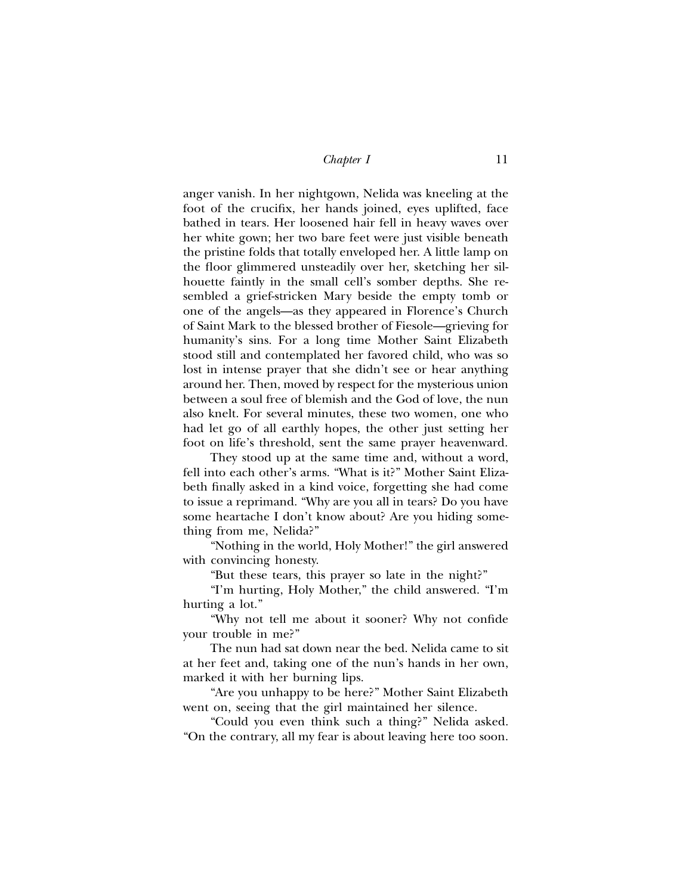anger vanish. In her nightgown, Nelida was kneeling at the foot of the crucifix, her hands joined, eyes uplifted, face bathed in tears. Her loosened hair fell in heavy waves over her white gown; her two bare feet were just visible beneath the pristine folds that totally enveloped her. A little lamp on the floor glimmered unsteadily over her, sketching her silhouette faintly in the small cell's somber depths. She resembled a grief-stricken Mary beside the empty tomb or one of the angels—as they appeared in Florence's Church of Saint Mark to the blessed brother of Fiesole—grieving for humanity's sins. For a long time Mother Saint Elizabeth stood still and contemplated her favored child, who was so lost in intense prayer that she didn't see or hear anything around her. Then, moved by respect for the mysterious union between a soul free of blemish and the God of love, the nun also knelt. For several minutes, these two women, one who had let go of all earthly hopes, the other just setting her foot on life's threshold, sent the same prayer heavenward.

They stood up at the same time and, without a word, fell into each other's arms. "What is it?" Mother Saint Elizabeth finally asked in a kind voice, forgetting she had come to issue a reprimand. "Why are you all in tears? Do you have some heartache I don't know about? Are you hiding something from me, Nelida?"

"Nothing in the world, Holy Mother!" the girl answered with convincing honesty.

"But these tears, this prayer so late in the night?"

"I'm hurting, Holy Mother," the child answered. "I'm hurting a lot."

"Why not tell me about it sooner? Why not confide your trouble in me?"

The nun had sat down near the bed. Nelida came to sit at her feet and, taking one of the nun's hands in her own, marked it with her burning lips.

"Are you unhappy to be here?" Mother Saint Elizabeth went on, seeing that the girl maintained her silence.

"Could you even think such a thing?" Nelida asked. "On the contrary, all my fear is about leaving here too soon.